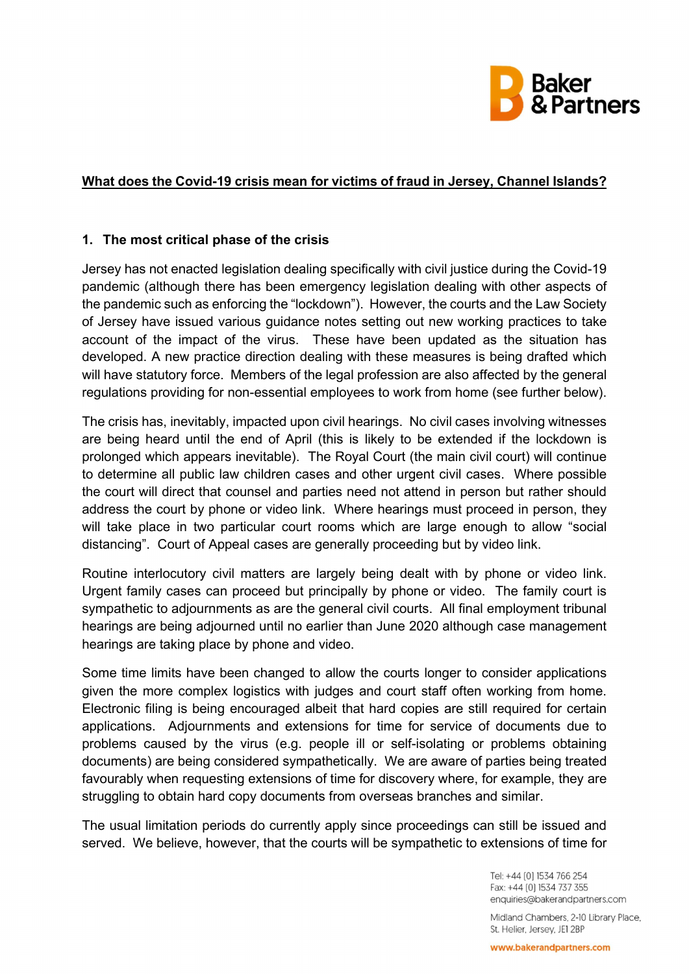

## What does the Covid-19 crisis mean for victims of fraud in Jersey, Channel Islands?

## 1. The most critical phase of the crisis

Jersey has not enacted legislation dealing specifically with civil justice during the Covid-19 pandemic (although there has been emergency legislation dealing with other aspects of the pandemic such as enforcing the "lockdown"). However, the courts and the Law Society of Jersey have issued various guidance notes setting out new working practices to take account of the impact of the virus. These have been updated as the situation has developed. A new practice direction dealing with these measures is being drafted which will have statutory force. Members of the legal profession are also affected by the general regulations providing for non-essential employees to work from home (see further below).

The crisis has, inevitably, impacted upon civil hearings. No civil cases involving witnesses are being heard until the end of April (this is likely to be extended if the lockdown is prolonged which appears inevitable). The Royal Court (the main civil court) will continue to determine all public law children cases and other urgent civil cases. Where possible the court will direct that counsel and parties need not attend in person but rather should address the court by phone or video link. Where hearings must proceed in person, they will take place in two particular court rooms which are large enough to allow "social distancing". Court of Appeal cases are generally proceeding but by video link.

Routine interlocutory civil matters are largely being dealt with by phone or video link. Urgent family cases can proceed but principally by phone or video. The family court is sympathetic to adjournments as are the general civil courts. All final employment tribunal hearings are being adjourned until no earlier than June 2020 although case management hearings are taking place by phone and video.

Some time limits have been changed to allow the courts longer to consider applications given the more complex logistics with judges and court staff often working from home. Electronic filing is being encouraged albeit that hard copies are still required for certain applications. Adjournments and extensions for time for service of documents due to problems caused by the virus (e.g. people ill or self-isolating or problems obtaining documents) are being considered sympathetically. We are aware of parties being treated favourably when requesting extensions of time for discovery where, for example, they are struggling to obtain hard copy documents from overseas branches and similar.

The usual limitation periods do currently apply since proceedings can still be issued and served. We believe, however, that the courts will be sympathetic to extensions of time for

> Tel: +44 [0] 1534 766 254 Fax: +44 [0] 1534 737 355 enquiries@bakerandpartners.com

Midland Chambers, 2-10 Library Place, St. Helier, Jersey, JE1 2BP

www.bakerandpartners.com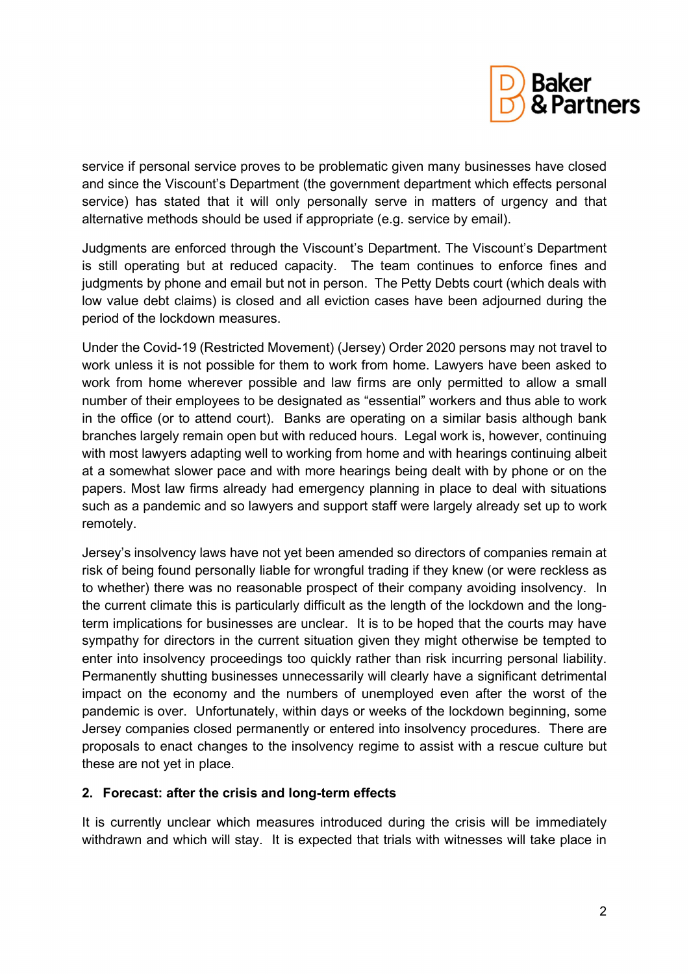

service if personal service proves to be problematic given many businesses have closed and since the Viscount's Department (the government department which effects personal service) has stated that it will only personally serve in matters of urgency and that alternative methods should be used if appropriate (e.g. service by email).

Judgments are enforced through the Viscount's Department. The Viscount's Department is still operating but at reduced capacity. The team continues to enforce fines and judgments by phone and email but not in person. The Petty Debts court (which deals with low value debt claims) is closed and all eviction cases have been adjourned during the period of the lockdown measures.

Under the Covid-19 (Restricted Movement) (Jersey) Order 2020 persons may not travel to work unless it is not possible for them to work from home. Lawyers have been asked to work from home wherever possible and law firms are only permitted to allow a small number of their employees to be designated as "essential" workers and thus able to work in the office (or to attend court). Banks are operating on a similar basis although bank branches largely remain open but with reduced hours. Legal work is, however, continuing with most lawyers adapting well to working from home and with hearings continuing albeit at a somewhat slower pace and with more hearings being dealt with by phone or on the papers. Most law firms already had emergency planning in place to deal with situations such as a pandemic and so lawyers and support staff were largely already set up to work remotely.

Jersey's insolvency laws have not yet been amended so directors of companies remain at risk of being found personally liable for wrongful trading if they knew (or were reckless as to whether) there was no reasonable prospect of their company avoiding insolvency. In the current climate this is particularly difficult as the length of the lockdown and the longterm implications for businesses are unclear. It is to be hoped that the courts may have sympathy for directors in the current situation given they might otherwise be tempted to enter into insolvency proceedings too quickly rather than risk incurring personal liability. Permanently shutting businesses unnecessarily will clearly have a significant detrimental impact on the economy and the numbers of unemployed even after the worst of the pandemic is over. Unfortunately, within days or weeks of the lockdown beginning, some Jersey companies closed permanently or entered into insolvency procedures. There are proposals to enact changes to the insolvency regime to assist with a rescue culture but these are not yet in place.

## 2. Forecast: after the crisis and long-term effects

It is currently unclear which measures introduced during the crisis will be immediately withdrawn and which will stay. It is expected that trials with witnesses will take place in